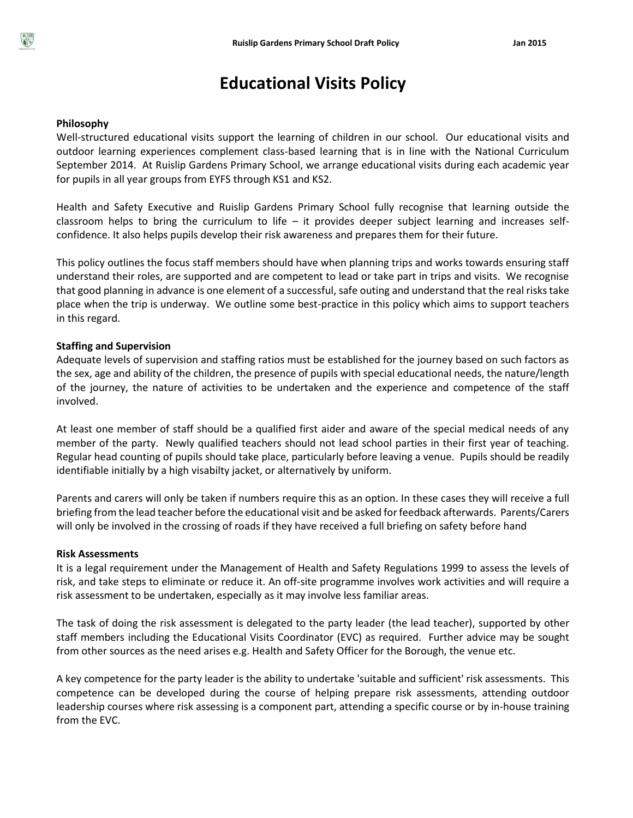# **Educational Visits Policy**

## **Philosophy**

Well-structured educational visits support the learning of children in our school. Our educational visits and outdoor learning experiences complement class-based learning that is in line with the National Curriculum September 2014. At Ruislip Gardens Primary School, we arrange educational visits during each academic year for pupils in all year groups from EYFS through KS1 and KS2.

Health and Safety Executive and Ruislip Gardens Primary School fully recognise that learning outside the classroom helps to bring the curriculum to life  $-$  it provides deeper subject learning and increases selfconfidence. It also helps pupils develop their risk awareness and prepares them for their future.

This policy outlines the focus staff members should have when planning trips and works towards ensuring staff understand their roles, are supported and are competent to lead or take part in trips and visits. We recognise that good planning in advance is one element of a successful, safe outing and understand that the real risks take place when the trip is underway. We outline some best-practice in this policy which aims to support teachers in this regard.

## **Staffing and Supervision**

Adequate levels of supervision and staffing ratios must be established for the journey based on such factors as the sex, age and ability of the children, the presence of pupils with special educational needs, the nature/length of the journey, the nature of activities to be undertaken and the experience and competence of the staff involved.

At least one member of staff should be a qualified first aider and aware of the special medical needs of any member of the party. Newly qualified teachers should not lead school parties in their first year of teaching. Regular head counting of pupils should take place, particularly before leaving a venue. Pupils should be readily identifiable initially by a high visabilty jacket, or alternatively by uniform.

Parents and carers will only be taken if numbers require this as an option. In these cases they will receive a full briefing from the lead teacher before the educational visit and be asked for feedback afterwards. Parents/Carers will only be involved in the crossing of roads if they have received a full briefing on safety before hand

## **Risk Assessments**

It is a legal requirement under the Management of Health and Safety Regulations 1999 to assess the levels of risk, and take steps to eliminate or reduce it. An off-site programme involves work activities and will require a risk assessment to be undertaken, especially as it may involve less familiar areas.

The task of doing the risk assessment is delegated to the party leader (the lead teacher), supported by other staff members including the Educational Visits Coordinator (EVC) as required. Further advice may be sought from other sources as the need arises e.g. Health and Safety Officer for the Borough, the venue etc.

A key competence for the party leader is the ability to undertake 'suitable and sufficient' risk assessments. This competence can be developed during the course of helping prepare risk assessments, attending outdoor leadership courses where risk assessing is a component part, attending a specific course or by in-house training from the EVC.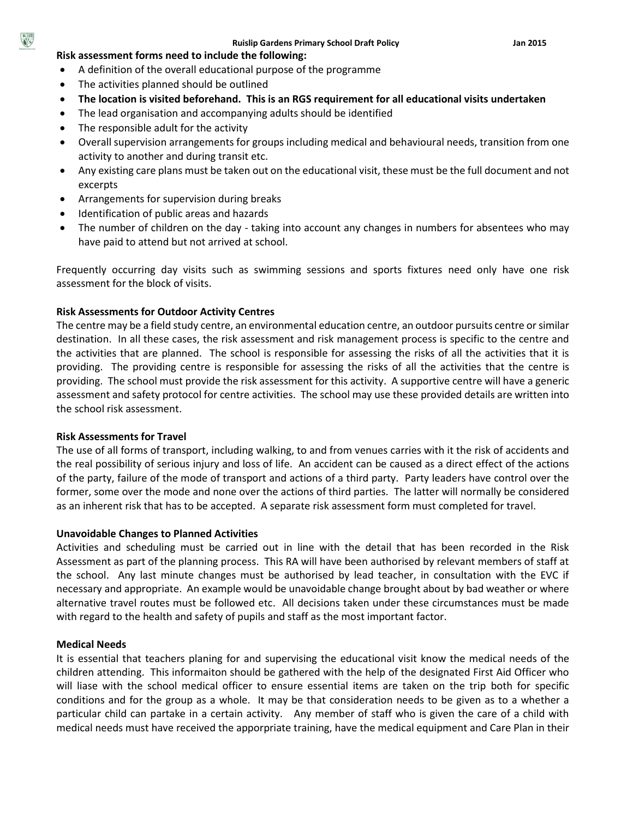#### **Risk assessment forms need to include the following:**

- A definition of the overall educational purpose of the programme
- The activities planned should be outlined
- **The location is visited beforehand. This is an RGS requirement for all educational visits undertaken**
- The lead organisation and accompanying adults should be identified
- The responsible adult for the activity
- Overall supervision arrangements for groups including medical and behavioural needs, transition from one activity to another and during transit etc.
- Any existing care plans must be taken out on the educational visit, these must be the full document and not excerpts
- Arrangements for supervision during breaks
- Identification of public areas and hazards
- The number of children on the day taking into account any changes in numbers for absentees who may have paid to attend but not arrived at school.

Frequently occurring day visits such as swimming sessions and sports fixtures need only have one risk assessment for the block of visits.

## **Risk Assessments for Outdoor Activity Centres**

The centre may be a field study centre, an environmental education centre, an outdoor pursuits centre or similar destination. In all these cases, the risk assessment and risk management process is specific to the centre and the activities that are planned. The school is responsible for assessing the risks of all the activities that it is providing. The providing centre is responsible for assessing the risks of all the activities that the centre is providing. The school must provide the risk assessment for this activity. A supportive centre will have a generic assessment and safety protocol for centre activities. The school may use these provided details are written into the school risk assessment.

## **Risk Assessments for Travel**

The use of all forms of transport, including walking, to and from venues carries with it the risk of accidents and the real possibility of serious injury and loss of life. An accident can be caused as a direct effect of the actions of the party, failure of the mode of transport and actions of a third party. Party leaders have control over the former, some over the mode and none over the actions of third parties. The latter will normally be considered as an inherent risk that has to be accepted. A separate risk assessment form must completed for travel.

## **Unavoidable Changes to Planned Activities**

Activities and scheduling must be carried out in line with the detail that has been recorded in the Risk Assessment as part of the planning process. This RA will have been authorised by relevant members of staff at the school. Any last minute changes must be authorised by lead teacher, in consultation with the EVC if necessary and appropriate. An example would be unavoidable change brought about by bad weather or where alternative travel routes must be followed etc. All decisions taken under these circumstances must be made with regard to the health and safety of pupils and staff as the most important factor.

## **Medical Needs**

It is essential that teachers planing for and supervising the educational visit know the medical needs of the children attending. This informaiton should be gathered with the help of the designated First Aid Officer who will liase with the school medical officer to ensure essential items are taken on the trip both for specific conditions and for the group as a whole. It may be that consideration needs to be given as to a whether a particular child can partake in a certain activity. Any member of staff who is given the care of a child with medical needs must have received the apporpriate training, have the medical equipment and Care Plan in their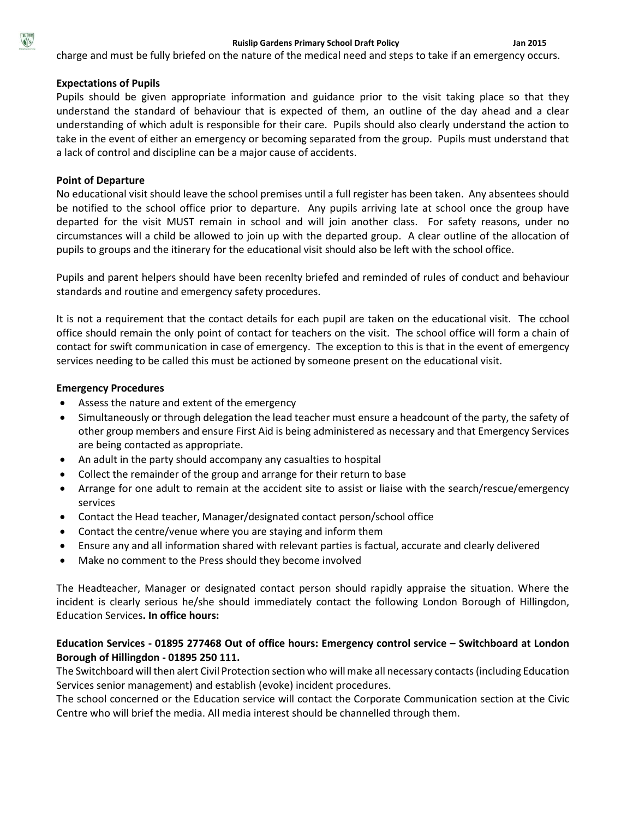charge and must be fully briefed on the nature of the medical need and steps to take if an emergency occurs.

## **Expectations of Pupils**

Pupils should be given appropriate information and guidance prior to the visit taking place so that they understand the standard of behaviour that is expected of them, an outline of the day ahead and a clear understanding of which adult is responsible for their care. Pupils should also clearly understand the action to take in the event of either an emergency or becoming separated from the group. Pupils must understand that a lack of control and discipline can be a major cause of accidents.

## **Point of Departure**

No educational visit should leave the school premises until a full register has been taken. Any absentees should be notified to the school office prior to departure. Any pupils arriving late at school once the group have departed for the visit MUST remain in school and will join another class. For safety reasons, under no circumstances will a child be allowed to join up with the departed group. A clear outline of the allocation of pupils to groups and the itinerary for the educational visit should also be left with the school office.

Pupils and parent helpers should have been recenlty briefed and reminded of rules of conduct and behaviour standards and routine and emergency safety procedures.

It is not a requirement that the contact details for each pupil are taken on the educational visit. The cchool office should remain the only point of contact for teachers on the visit. The school office will form a chain of contact for swift communication in case of emergency. The exception to this is that in the event of emergency services needing to be called this must be actioned by someone present on the educational visit.

## **Emergency Procedures**

- Assess the nature and extent of the emergency
- Simultaneously or through delegation the lead teacher must ensure a headcount of the party, the safety of other group members and ensure First Aid is being administered as necessary and that Emergency Services are being contacted as appropriate.
- An adult in the party should accompany any casualties to hospital
- Collect the remainder of the group and arrange for their return to base
- Arrange for one adult to remain at the accident site to assist or liaise with the search/rescue/emergency services
- Contact the Head teacher, Manager/designated contact person/school office
- Contact the centre/venue where you are staying and inform them
- Ensure any and all information shared with relevant parties is factual, accurate and clearly delivered
- Make no comment to the Press should they become involved

The Headteacher, Manager or designated contact person should rapidly appraise the situation. Where the incident is clearly serious he/she should immediately contact the following London Borough of Hillingdon, Education Services**. In office hours:**

# **Education Services - 01895 277468 Out of office hours: Emergency control service – Switchboard at London Borough of Hillingdon - 01895 250 111.**

The Switchboard will then alert Civil Protection section who will make all necessary contacts (including Education Services senior management) and establish (evoke) incident procedures.

The school concerned or the Education service will contact the Corporate Communication section at the Civic Centre who will brief the media. All media interest should be channelled through them.